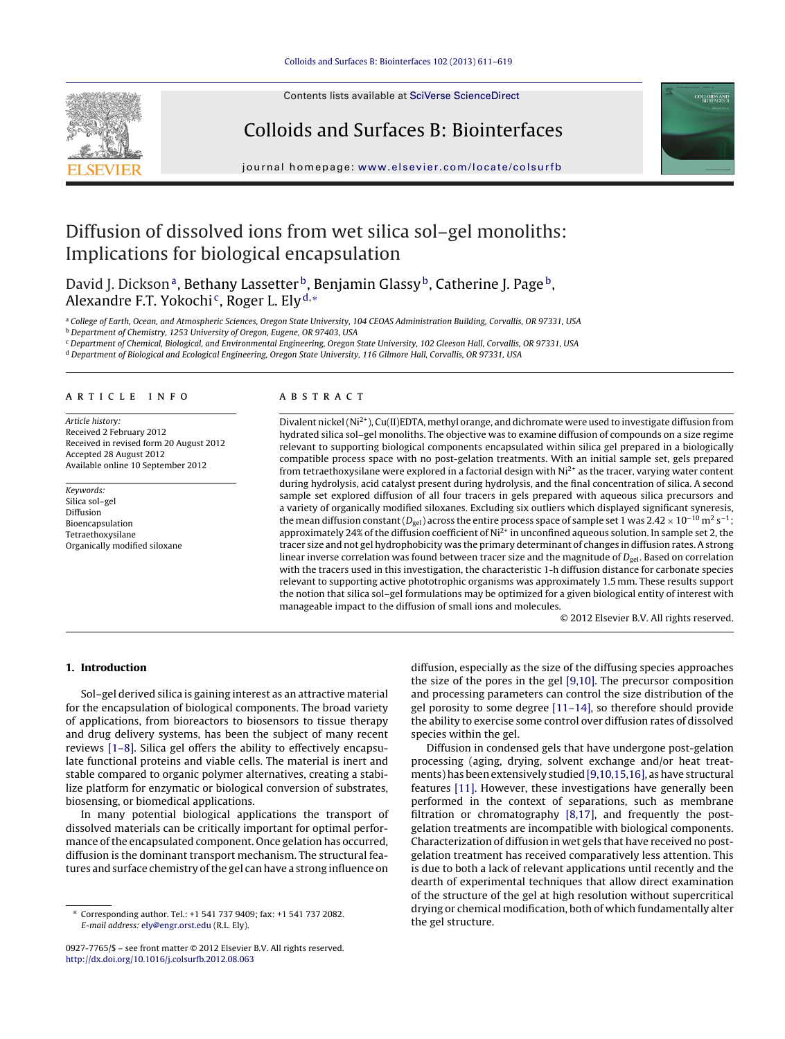Contents lists available at SciVerse [ScienceDirect](http://www.sciencedirect.com/science/journal/09277765)

# Colloids and Surfaces B: Biointerfaces



jour nal homepage: [www.elsevier.com/locate/colsurfb](http://www.elsevier.com/locate/colsurfb)

# Diffusion of dissolved ions from wet silica sol–gel monoliths: Implications for biological encapsulation

David J. Dickson<sup>a</sup>, Bethany Lassetter<sup>b</sup>, Benjamin Glassy<sup>b</sup>, Catherine J. Page<sup>b</sup>, Alexandre F.T. Yokochi<sup>c</sup>, Roger L. Ely<sup>d,\*</sup>

a College of Earth, Ocean, and Atmospheric Sciences, Oregon State University, 104 CEOAS Administration Building, Corvallis, OR 97331, USA

<sup>b</sup> Department of Chemistry, 1253 University of Oregon, Eugene, OR 97403, USA

<sup>c</sup> Department of Chemical, Biological, and Environmental Engineering, Oregon State University, 102 Gleeson Hall, Corvallis, OR 97331, USA

<sup>d</sup> Department of Biological and Ecological Engineering, Oregon State University, 116 Gilmore Hall, Corvallis, OR 97331, USA

# a r t i c l e i n f o

Article history: Received 2 February 2012 Received in revised form 20 August 2012 Accepted 28 August 2012 Available online 10 September 2012

Keywords: Silica sol–gel Diffusion Bioencapsulation Tetraethoxysilane Organically modified siloxane

# a b s t r a c t

Divalent nickel (Ni<sup>2+</sup>), Cu(II)EDTA, methyl orange, and dichromate were used to investigate diffusion from hydrated silica sol–gel monoliths. The objective was to examine diffusion of compounds on a size regime relevant to supporting biological components encapsulated within silica gel prepared in a biologically compatible process space with no post-gelation treatments. With an initial sample set, gels prepared from tetraethoxysilane were explored in a factorial design with  $Ni<sup>2+</sup>$  as the tracer, varying water content during hydrolysis, acid catalyst present during hydrolysis, and the final concentration of silica. A second sample set explored diffusion of all four tracers in gels prepared with aqueous silica precursors and a variety of organically modified siloxanes. Excluding six outliers which displayed significant syneresis, the mean diffusion constant ( $D_{gel}$ ) across the entire process space of sample set 1 was 2.42 × 10<sup>-10</sup> m<sup>2</sup> s<sup>-1</sup>; approximately 24% of the diffusion coefficient of  $Ni<sup>2+</sup>$  in unconfined aqueous solution. In sample set 2, the tracer size and not gel hydrophobicity was the primary determinant of changes in diffusion rates. A strong linear inverse correlation was found between tracer size and the magnitude of  $D_{gel}$ . Based on correlation with the tracers used in this investigation, the characteristic 1-h diffusion distance for carbonate species relevant to supporting active phototrophic organisms was approximately 1.5 mm. These results support the notion that silica sol–gel formulations may be optimized for a given biological entity of interest with manageable impact to the diffusion of small ions and molecules.

© 2012 Elsevier B.V. All rights reserved.

# **1. Introduction**

Sol–gel derived silica is gaining interest as an attractive material for the encapsulation of biological components. The broad variety of applications, from bioreactors to biosensors to tissue therapy and drug delivery systems, has been the subject of many recent reviews [\[1–8\].](#page-8-0) Silica gel offers the ability to effectively encapsulate functional proteins and viable cells. The material is inert and stable compared to organic polymer alternatives, creating a stabilize platform for enzymatic or biological conversion of substrates, biosensing, or biomedical applications.

In many potential biological applications the transport of dissolved materials can be critically important for optimal performance of the encapsulated component. Once gelation has occurred, diffusion is the dominant transport mechanism. The structural features and surface chemistry of the gel can have a strong influence on

diffusion, especially as the size of the diffusing species approaches the size of the pores in the gel [\[9,10\].](#page-8-0) The precursor composition and processing parameters can control the size distribution of the gel porosity to some degree [\[11–14\],](#page-8-0) so therefore should provide the ability to exercise some control over diffusion rates of dissolved species within the gel.

Diffusion in condensed gels that have undergone post-gelation processing (aging, drying, solvent exchange and/or heat treatments) has been extensively studied [\[9,10,15,16\],](#page-8-0) as have structural features [\[11\].](#page-8-0) However, these investigations have generally been performed in the context of separations, such as membrane filtration or chromatography [\[8,17\],](#page-8-0) and frequently the postgelation treatments are incompatible with biological components. Characterization of diffusion in wet gels that have received no postgelation treatment has received comparatively less attention. This is due to both a lack of relevant applications until recently and the dearth of experimental techniques that allow direct examination of the structure of the gel at high resolution without supercritical drying or chemical modification, both of which fundamentally alter the gel structure.

<sup>∗</sup> Corresponding author. Tel.: +1 541 737 9409; fax: +1 541 737 2082. E-mail address: [ely@engr.orst.edu](mailto:ely@engr.orst.edu) (R.L. Ely).

<sup>0927-7765/\$</sup> – see front matter © 2012 Elsevier B.V. All rights reserved. [http://dx.doi.org/10.1016/j.colsurfb.2012.08.063](dx.doi.org/10.1016/j.colsurfb.2012.08.063)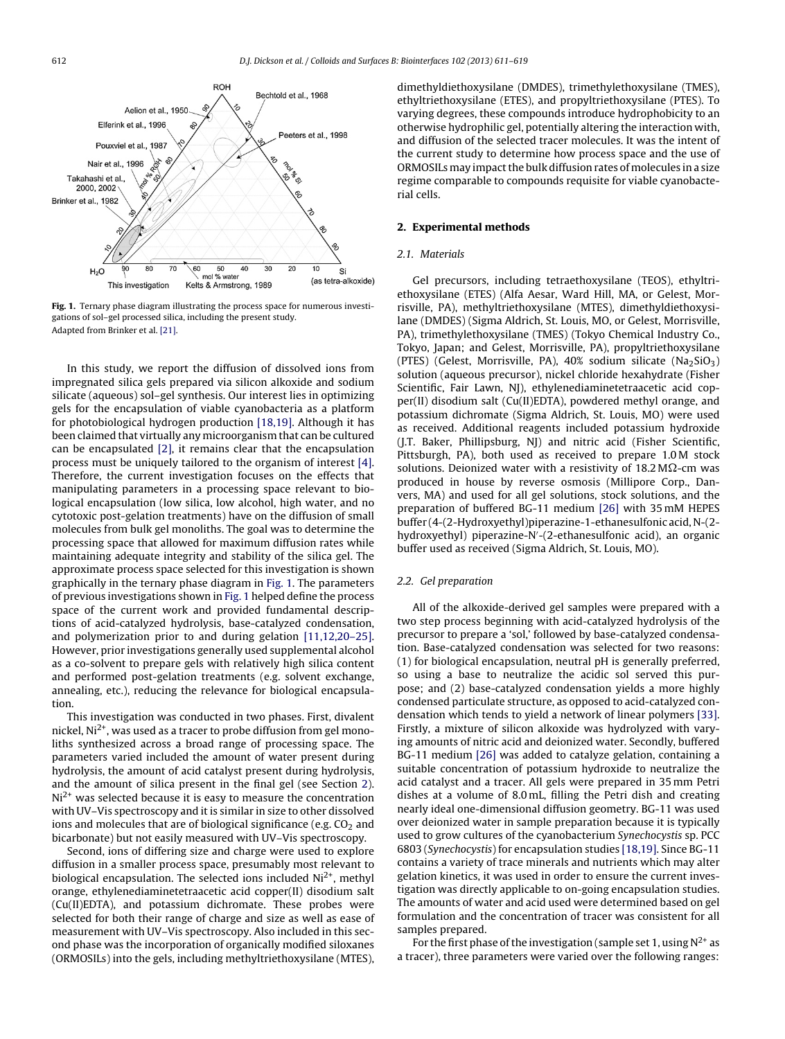

**Fig. 1.** Ternary phase diagram illustrating the process space for numerous investigations of sol–gel processed silica, including the present study. Adapted from Brinker et al. [\[21\].](#page-8-0)

In this study, we report the diffusion of dissolved ions from impregnated silica gels prepared via silicon alkoxide and sodium silicate (aqueous) sol–gel synthesis. Our interest lies in optimizing gels for the encapsulation of viable cyanobacteria as a platform for photobiological hydrogen production [\[18,19\].](#page-8-0) Although it has been claimed that virtually any microorganism that can be cultured can be encapsulated [\[2\],](#page-8-0) it remains clear that the encapsulation process must be uniquely tailored to the organism of interest [\[4\].](#page-8-0) Therefore, the current investigation focuses on the effects that manipulating parameters in a processing space relevant to biological encapsulation (low silica, low alcohol, high water, and no cytotoxic post-gelation treatments) have on the diffusion of small molecules from bulk gel monoliths. The goal was to determine the processing space that allowed for maximum diffusion rates while maintaining adequate integrity and stability of the silica gel. The approximate process space selected for this investigation is shown graphically in the ternary phase diagram in Fig. 1. The parameters of previous investigations shown in Fig. 1 helped define the process space of the current work and provided fundamental descriptions of acid-catalyzed hydrolysis, base-catalyzed condensation, and polymerization prior to and during gelation [\[11,12,20–25\].](#page-8-0) However, prior investigations generally used supplemental alcohol as a co-solvent to prepare gels with relatively high silica content and performed post-gelation treatments (e.g. solvent exchange, annealing, etc.), reducing the relevance for biological encapsulation.

This investigation was conducted in two phases. First, divalent nickel,  $Ni<sup>2+</sup>$ , was used as a tracer to probe diffusion from gel monoliths synthesized across a broad range of processing space. The parameters varied included the amount of water present during hydrolysis, the amount of acid catalyst present during hydrolysis, and the amount of silica present in the final gel (see Section 2).  $Ni<sup>2+</sup>$  was selected because it is easy to measure the concentration with UV–Vis spectroscopy and it is similar in size to other dissolved ions and molecules that are of biological significance (e.g.  $CO<sub>2</sub>$  and bicarbonate) but not easily measured with UV–Vis spectroscopy.

Second, ions of differing size and charge were used to explore diffusion in a smaller process space, presumably most relevant to biological encapsulation. The selected ions included  $Ni<sup>2+</sup>$ , methyl orange, ethylenediaminetetraacetic acid copper(II) disodium salt (Cu(II)EDTA), and potassium dichromate. These probes were selected for both their range of charge and size as well as ease of measurement with UV–Vis spectroscopy. Also included in this second phase was the incorporation of organically modified siloxanes (ORMOSILs) into the gels, including methyltriethoxysilane (MTES), dimethyldiethoxysilane (DMDES), trimethylethoxysilane (TMES), ethyltriethoxysilane (ETES), and propyltriethoxysilane (PTES). To varying degrees, these compounds introduce hydrophobicity to an otherwise hydrophilic gel, potentially altering the interaction with, and diffusion of the selected tracer molecules. It was the intent of the current study to determine how process space and the use of ORMOSILs may impact the bulk diffusion rates of molecules in a size regime comparable to compounds requisite for viable cyanobacterial cells.

# **2. Experimental methods**

#### 2.1. Materials

Gel precursors, including tetraethoxysilane (TEOS), ethyltriethoxysilane (ETES) (Alfa Aesar, Ward Hill, MA, or Gelest, Morrisville, PA), methyltriethoxysilane (MTES), dimethyldiethoxysilane (DMDES) (Sigma Aldrich, St. Louis, MO, or Gelest, Morrisville, PA), trimethylethoxysilane (TMES) (Tokyo Chemical Industry Co., Tokyo, Japan; and Gelest, Morrisville, PA), propyltriethoxysilane (PTES) (Gelest, Morrisville, PA),  $40\%$  sodium silicate (Na<sub>2</sub>SiO<sub>3</sub>) solution (aqueous precursor), nickel chloride hexahydrate (Fisher Scientific, Fair Lawn, NJ), ethylenediaminetetraacetic acid copper(II) disodium salt (Cu(II)EDTA), powdered methyl orange, and potassium dichromate (Sigma Aldrich, St. Louis, MO) were used as received. Additional reagents included potassium hydroxide (J.T. Baker, Phillipsburg, NJ) and nitric acid (Fisher Scientific, Pittsburgh, PA), both used as received to prepare 1.0 M stock solutions. Deionized water with a resistivity of 18.2 M $\Omega$ -cm was produced in house by reverse osmosis (Millipore Corp., Danvers, MA) and used for all gel solutions, stock solutions, and the preparation of buffered BG-11 medium [\[26\]](#page-8-0) with 35 mM HEPES buffer (4-(2-Hydroxyethyl)piperazine-1-ethanesulfonic acid, N-(2 hydroxyethyl) piperazine-N -(2-ethanesulfonic acid), an organic buffer used as received (Sigma Aldrich, St. Louis, MO).

# 2.2. Gel preparation

All of the alkoxide-derived gel samples were prepared with a two step process beginning with acid-catalyzed hydrolysis of the precursor to prepare a 'sol,' followed by base-catalyzed condensation. Base-catalyzed condensation was selected for two reasons: (1) for biological encapsulation, neutral pH is generally preferred, so using a base to neutralize the acidic sol served this purpose; and (2) base-catalyzed condensation yields a more highly condensed particulate structure, as opposed to acid-catalyzed condensation which tends to yield a network of linear polymers [\[33\].](#page-8-0) Firstly, a mixture of silicon alkoxide was hydrolyzed with varying amounts of nitric acid and deionized water. Secondly, buffered BG-11 medium [\[26\]](#page-8-0) was added to catalyze gelation, containing a suitable concentration of potassium hydroxide to neutralize the acid catalyst and a tracer. All gels were prepared in 35 mm Petri dishes at a volume of 8.0 mL, filling the Petri dish and creating nearly ideal one-dimensional diffusion geometry. BG-11 was used over deionized water in sample preparation because it is typically used to grow cultures of the cyanobacterium Synechocystis sp. PCC 6803 (Synechocystis) for encapsulation studies [\[18,19\].](#page-8-0) Since BG-11 contains a variety of trace minerals and nutrients which may alter gelation kinetics, it was used in order to ensure the current investigation was directly applicable to on-going encapsulation studies. The amounts of water and acid used were determined based on gel formulation and the concentration of tracer was consistent for all samples prepared.

For the first phase of the investigation (sample set 1, using  $N^{2+}$  as a tracer), three parameters were varied over the following ranges: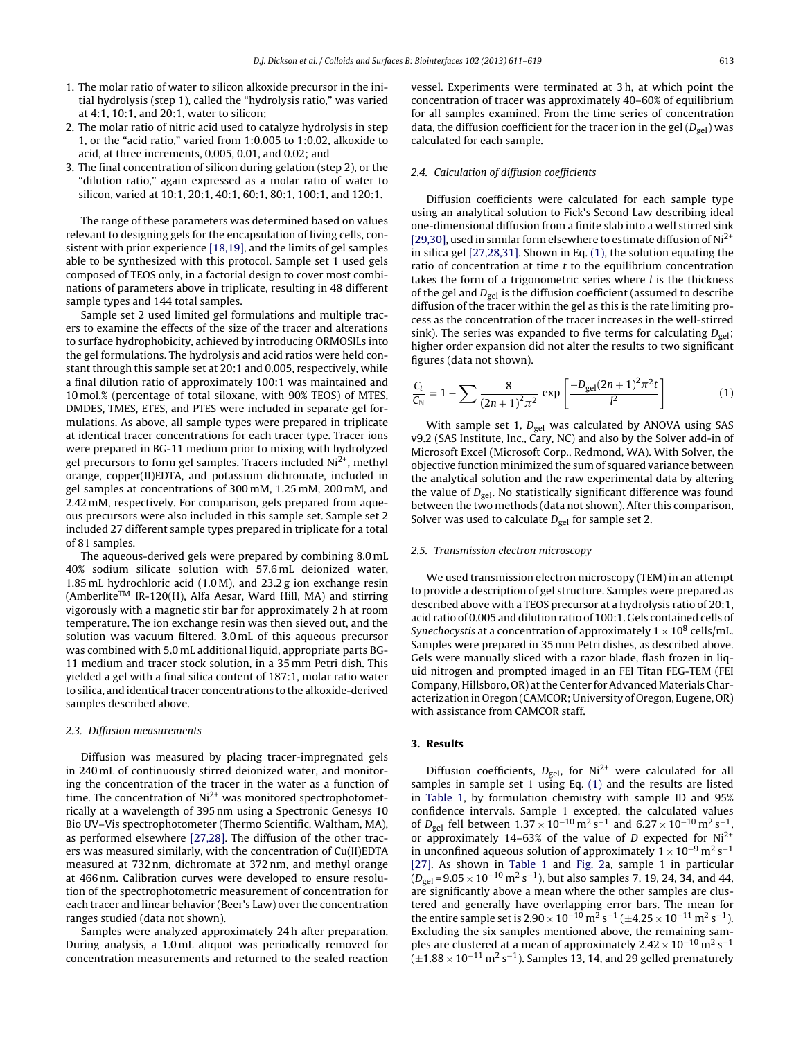- 1. The molar ratio of water to silicon alkoxide precursor in the initial hydrolysis (step 1), called the "hydrolysis ratio," was varied at 4:1, 10:1, and 20:1, water to silicon;
- 2. The molar ratio of nitric acid used to catalyze hydrolysis in step 1, or the "acid ratio," varied from 1:0.005 to 1:0.02, alkoxide to acid, at three increments, 0.005, 0.01, and 0.02; and
- 3. The final concentration of silicon during gelation (step 2), or the "dilution ratio," again expressed as a molar ratio of water to silicon, varied at 10:1, 20:1, 40:1, 60:1, 80:1, 100:1, and 120:1.

The range of these parameters was determined based on values relevant to designing gels for the encapsulation of living cells, consistent with prior experience [\[18,19\],](#page-8-0) and the limits of gel samples able to be synthesized with this protocol. Sample set 1 used gels composed of TEOS only, in a factorial design to cover most combinations of parameters above in triplicate, resulting in 48 different sample types and 144 total samples.

Sample set 2 used limited gel formulations and multiple tracers to examine the effects of the size of the tracer and alterations to surface hydrophobicity, achieved by introducing ORMOSILs into the gel formulations. The hydrolysis and acid ratios were held constant through this sample set at 20:1 and 0.005, respectively, while a final dilution ratio of approximately 100:1 was maintained and 10 mol.% (percentage of total siloxane, with 90% TEOS) of MTES, DMDES, TMES, ETES, and PTES were included in separate gel formulations. As above, all sample types were prepared in triplicate at identical tracer concentrations for each tracer type. Tracer ions were prepared in BG-11 medium prior to mixing with hydrolyzed gel precursors to form gel samples. Tracers included  $Ni<sup>2+</sup>$ , methyl orange, copper(II)EDTA, and potassium dichromate, included in gel samples at concentrations of 300 mM, 1.25 mM, 200 mM, and 2.42 mM, respectively. For comparison, gels prepared from aqueous precursors were also included in this sample set. Sample set 2 included 27 different sample types prepared in triplicate for a total of 81 samples.

The aqueous-derived gels were prepared by combining 8.0 mL 40% sodium silicate solution with 57.6 mL deionized water, 1.85 mL hydrochloric acid (1.0 M), and 23.2 g ion exchange resin  $(Amberlite<sup>TM</sup>$  IR-120(H), Alfa Aesar, Ward Hill, MA) and stirring vigorously with a magnetic stir bar for approximately 2 h at room temperature. The ion exchange resin was then sieved out, and the solution was vacuum filtered. 3.0 mL of this aqueous precursor was combined with 5.0 mL additional liquid, appropriate parts BG-11 medium and tracer stock solution, in a 35 mm Petri dish. This yielded a gel with a final silica content of 187:1, molar ratio water to silica, and identical tracer concentrations to the alkoxide-derived samples described above.

# 2.3. Diffusion measurements

Diffusion was measured by placing tracer-impregnated gels in 240 mL of continuously stirred deionized water, and monitoring the concentration of the tracer in the water as a function of time. The concentration of  $Ni<sup>2+</sup>$  was monitored spectrophotometrically at a wavelength of 395 nm using a Spectronic Genesys 10 Bio UV–Vis spectrophotometer (Thermo Scientific, Waltham, MA), as performed elsewhere [\[27,28\].](#page-8-0) The diffusion of the other tracers was measured similarly, with the concentration of Cu(II)EDTA measured at 732 nm, dichromate at 372 nm, and methyl orange at 466 nm. Calibration curves were developed to ensure resolution of the spectrophotometric measurement of concentration for each tracer and linear behavior (Beer's Law) over the concentration ranges studied (data not shown).

Samples were analyzed approximately 24 h after preparation. During analysis, a 1.0 mL aliquot was periodically removed for concentration measurements and returned to the sealed reaction vessel. Experiments were terminated at 3 h, at which point the concentration of tracer was approximately 40–60% of equilibrium for all samples examined. From the time series of concentration data, the diffusion coefficient for the tracer ion in the gel  $(D_{\varphi_{\text{el}}})$  was calculated for each sample.

### 2.4. Calculation of diffusion coefficients

Diffusion coefficients were calculated for each sample type using an analytical solution to Fick's Second Law describing ideal one-dimensional diffusion from a finite slab into a well stirred sink [\[29,30\],](#page-8-0) used in similar form elsewhere to estimate diffusion of Ni2+ in silica gel [\[27,28,31\].](#page-8-0) Shown in Eq. (1), the solution equating the ratio of concentration at time  $t$  to the equilibrium concentration takes the form of a trigonometric series where  $l$  is the thickness of the gel and  $D_{gel}$  is the diffusion coefficient (assumed to describe diffusion of the tracer within the gel as this is the rate limiting process as the concentration of the tracer increases in the well-stirred sink). The series was expanded to five terms for calculating  $D_{\text{gel}}$ ; higher order expansion did not alter the results to two significant figures (data not shown).

$$
\frac{C_t}{C_N} = 1 - \sum \frac{8}{(2n+1)^2 \pi^2} \exp\left[\frac{-D_{gel}(2n+1)^2 \pi^2 t}{l^2}\right]
$$
(1)

With sample set 1,  $D_{gel}$  was calculated by ANOVA using SAS v9.2 (SAS Institute, Inc., Cary, NC) and also by the Solver add-in of Microsoft Excel (Microsoft Corp., Redmond, WA). With Solver, the objective function minimized the sum of squared variance between the analytical solution and the raw experimental data by altering the value of  $D_{gel}$ . No statistically significant difference was found between the two methods (data not shown). After this comparison, Solver was used to calculate  $D_{gel}$  for sample set 2.

# 2.5. Transmission electron microscopy

We used transmission electron microscopy (TEM) in an attempt to provide a description of gel structure. Samples were prepared as described above with a TEOS precursor at a hydrolysis ratio of 20:1, acid ratio of 0.005 and dilution ratio of 100:1. Gels contained cells of Synechocystis at a concentration of approximately  $1 \times 10^8$  cells/mL. Samples were prepared in 35 mm Petri dishes, as described above. Gels were manually sliced with a razor blade, flash frozen in liquid nitrogen and prompted imaged in an FEI Titan FEG-TEM (FEI Company, Hillsboro, OR) at the Center for Advanced Materials Characterizationin Oregon(CAMCOR; University of Oregon, Eugene, OR) with assistance from CAMCOR staff.

# **3. Results**

Diffusion coefficients,  $D_{gel}$ , for Ni<sup>2+</sup> were calculated for all samples in sample set 1 using Eq. (1) and the results are listed in [Table](#page-3-0) 1, by formulation chemistry with sample ID and 95% confidence intervals. Sample 1 excepted, the calculated values of  $D_{gel}$  fell between  $1.37 \times 10^{-10}$  m<sup>2</sup> s<sup>-1</sup> and  $6.27 \times 10^{-10}$  m<sup>2</sup> s<sup>-1</sup>, or approximately 14-63% of the value of D expected for  $Ni<sup>2+</sup>$ in unconfined aqueous solution of approximately  $1 \times 10^{-9}$  m<sup>2</sup> s<sup>-1</sup> [\[27\].](#page-8-0) As shown in [Table](#page-3-0) 1 and [Fig.](#page-4-0) 2a, sample 1 in particular  $(D_{gel} = 9.05 \times 10^{-10} \text{ m}^2 \text{ s}^{-1})$ , but also samples 7, 19, 24, 34, and 44, are significantly above a mean where the other samples are clustered and generally have overlapping error bars. The mean for the entire sample set is  $2.90 \times 10^{-10}$  m<sup>2</sup> s<sup>-1</sup> (±4.25 × 10<sup>-11</sup> m<sup>2</sup> s<sup>-1</sup>). Excluding the six samples mentioned above, the remaining samples are clustered at a mean of approximately  $2.42 \times 10^{-10}$  m<sup>2</sup> s<sup>-1</sup>  $(\pm 1.88 \times 10^{-11} \text{ m}^2 \text{ s}^{-1})$ . Samples 13, 14, and 29 gelled prematurely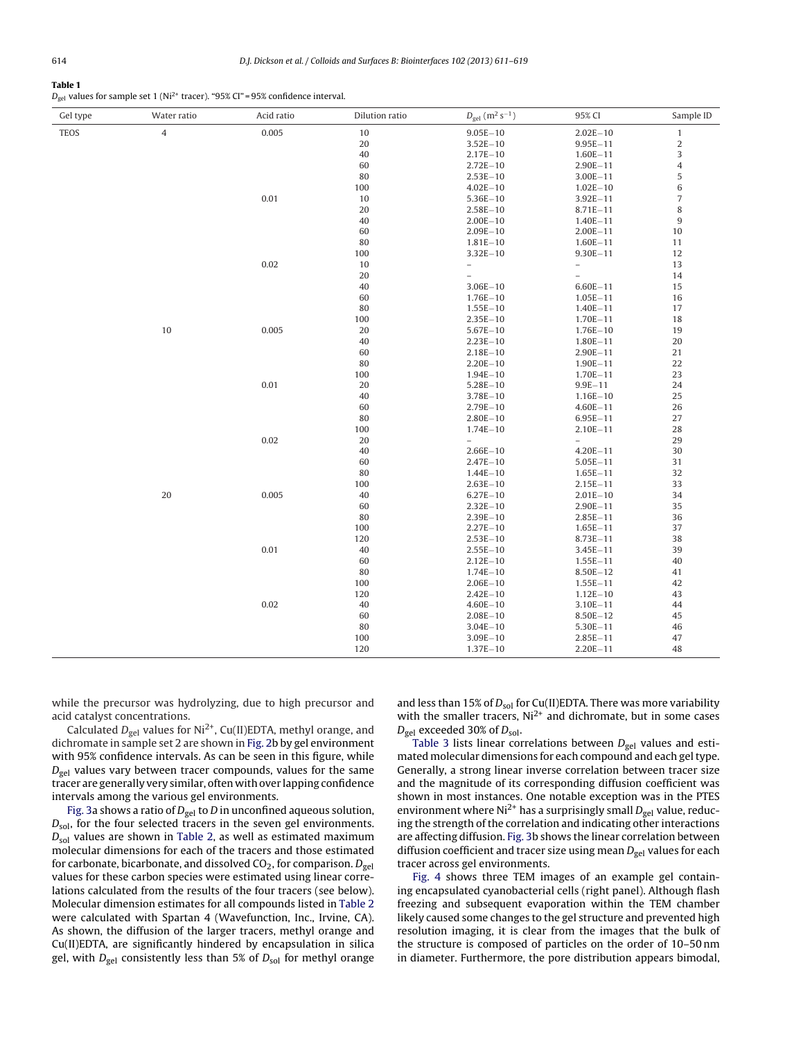# <span id="page-3-0"></span>**Table 1**

 $D_{gel}$  values for sample set 1 (Ni<sup>2+</sup> tracer). "95% CI" = 95% confidence interval.

| 0.005<br><b>TEOS</b><br>4<br>10<br>$9.05E - 10$<br>$2.02E - 10$<br>$\mathbf{1}$<br>$\sqrt{2}$<br>20<br>$3.52E - 10$<br>$9.95E - 11$<br>$\mathsf 3$<br>40<br>$2.17E - 10$<br>$1.60E - 11$<br>$\ensuremath{4}$<br>60<br>$2.72E - 10$<br>$2.90E - 11$<br>$\,$ 5 $\,$<br>80<br>$2.53E - 10$<br>$3.00E - 11$<br>$\,6\,$<br>100<br>$4.02E - 10$<br>$1.02E - 10$<br>0.01<br>$\sqrt{ }$<br>10<br>$5.36E - 10$<br>$3.92E - 11$<br>8<br>20<br>$2.58E - 10$<br>$8.71E - 11$<br>$\boldsymbol{9}$<br>40<br>$2.00E - 10$<br>$1.40E - 11$<br>60<br>$2.09E - 10$<br>$2.00E - 11$<br>$10\,$<br>$80\,$<br>$1.81E - 10$<br>$1.60E - 11$<br>11<br>100<br>$3.32E - 10$<br>$9.30E - 11$<br>12<br>10<br>0.02<br>13<br>$\hspace{1.0cm} -$<br>$\overline{\phantom{0}}$<br>20<br>14<br>$\bar{ }$<br>$\overline{\phantom{0}}$<br>40<br>15<br>$3.06E - 10$<br>$6.60E - 11$<br>60<br>16<br>$1.76E - 10$<br>$1.05E - 11$<br>80<br>17<br>$1.55E - 10$<br>$1.40E - 11$<br>100<br>$2.35E - 10$<br>18<br>$1.70E - 11$<br>$10\,$<br>0.005<br>$20\,$<br>$5.67E - 10$<br>19<br>$1.76E - 10$<br>20<br>40<br>$2.23E - 10$<br>1.80E-11<br>60<br>21<br>$2.18E - 10$<br>$2.90E - 11$<br>80<br>22<br>$2.20E - 10$<br>$1.90E - 11$<br>100<br>23<br>$1.94E - 10$<br>$1.70E - 11$<br>0.01<br>20<br>24<br>$5.28E - 10$<br>$9.9E - 11$<br>40<br>$3.78E - 10$<br>25<br>$1.16E - 10$<br>60<br>$2.79E - 10$<br>26<br>$4.60E - 11$<br>80<br>27<br>$2.80E - 10$<br>$6.95E - 11$<br>28<br>100<br>$1.74E - 10$<br>$2.10E - 11$<br>0.02<br>29<br>20<br>$\overline{\phantom{0}}$<br>$\equiv$<br>40<br>30<br>$2.66E - 10$<br>$4.20E - 11$<br>31<br>60<br>$2.47E - 10$<br>$5.05E - 11$<br>32<br>80<br>$1.44E - 10$<br>$1.65E - 11$<br>33<br>100<br>$2.63E - 10$<br>$2.15E - 11$<br>20<br>0.005<br>34<br>40<br>$6.27E - 10$<br>$2.01E - 10$<br>35<br>60<br>$2.32E - 10$<br>$2.90E - 11$<br>80<br>36<br>$2.39E - 10$<br>$2.85E - 11$<br>100<br>37<br>$2.27E - 10$<br>$1.65E - 11$<br>120<br>38<br>$2.53E - 10$<br>$8.73E - 11$<br>0.01<br>40<br>$2.55E - 10$<br>39<br>$3.45E - 11$<br>60<br>40<br>$2.12E - 10$<br>$1.55E - 11$<br>80<br>$1.74E - 10$<br>41<br>$8.50E - 12$<br>100<br>42<br>$2.06E - 10$<br>$1.55E - 11$<br>120<br>$2.42E - 10$<br>43<br>$1.12E - 10$<br>0.02<br>40<br>$4.60E - 10$<br>44<br>3.10E-11<br>60<br>$2.08E - 10$<br>45<br>$8.50E - 12$<br>80<br>$3.04E - 10$<br>46<br>$5.30E - 11$<br>100<br>47<br>$3.09E - 10$<br>$2.85E - 11$<br>120<br>$1.37E - 10$<br>$2.20E - 11$<br>48 | Gel type | Water ratio | Acid ratio | Dilution ratio | $D_{gel}$ (m <sup>2</sup> s <sup>-1</sup> ) | 95% CI | Sample ID |
|-------------------------------------------------------------------------------------------------------------------------------------------------------------------------------------------------------------------------------------------------------------------------------------------------------------------------------------------------------------------------------------------------------------------------------------------------------------------------------------------------------------------------------------------------------------------------------------------------------------------------------------------------------------------------------------------------------------------------------------------------------------------------------------------------------------------------------------------------------------------------------------------------------------------------------------------------------------------------------------------------------------------------------------------------------------------------------------------------------------------------------------------------------------------------------------------------------------------------------------------------------------------------------------------------------------------------------------------------------------------------------------------------------------------------------------------------------------------------------------------------------------------------------------------------------------------------------------------------------------------------------------------------------------------------------------------------------------------------------------------------------------------------------------------------------------------------------------------------------------------------------------------------------------------------------------------------------------------------------------------------------------------------------------------------------------------------------------------------------------------------------------------------------------------------------------------------------------------------------------------------------------------------------------------------------------------------------------------------------------------------------------------------------------------------------------------|----------|-------------|------------|----------------|---------------------------------------------|--------|-----------|
|                                                                                                                                                                                                                                                                                                                                                                                                                                                                                                                                                                                                                                                                                                                                                                                                                                                                                                                                                                                                                                                                                                                                                                                                                                                                                                                                                                                                                                                                                                                                                                                                                                                                                                                                                                                                                                                                                                                                                                                                                                                                                                                                                                                                                                                                                                                                                                                                                                           |          |             |            |                |                                             |        |           |
|                                                                                                                                                                                                                                                                                                                                                                                                                                                                                                                                                                                                                                                                                                                                                                                                                                                                                                                                                                                                                                                                                                                                                                                                                                                                                                                                                                                                                                                                                                                                                                                                                                                                                                                                                                                                                                                                                                                                                                                                                                                                                                                                                                                                                                                                                                                                                                                                                                           |          |             |            |                |                                             |        |           |
|                                                                                                                                                                                                                                                                                                                                                                                                                                                                                                                                                                                                                                                                                                                                                                                                                                                                                                                                                                                                                                                                                                                                                                                                                                                                                                                                                                                                                                                                                                                                                                                                                                                                                                                                                                                                                                                                                                                                                                                                                                                                                                                                                                                                                                                                                                                                                                                                                                           |          |             |            |                |                                             |        |           |
|                                                                                                                                                                                                                                                                                                                                                                                                                                                                                                                                                                                                                                                                                                                                                                                                                                                                                                                                                                                                                                                                                                                                                                                                                                                                                                                                                                                                                                                                                                                                                                                                                                                                                                                                                                                                                                                                                                                                                                                                                                                                                                                                                                                                                                                                                                                                                                                                                                           |          |             |            |                |                                             |        |           |
|                                                                                                                                                                                                                                                                                                                                                                                                                                                                                                                                                                                                                                                                                                                                                                                                                                                                                                                                                                                                                                                                                                                                                                                                                                                                                                                                                                                                                                                                                                                                                                                                                                                                                                                                                                                                                                                                                                                                                                                                                                                                                                                                                                                                                                                                                                                                                                                                                                           |          |             |            |                |                                             |        |           |
|                                                                                                                                                                                                                                                                                                                                                                                                                                                                                                                                                                                                                                                                                                                                                                                                                                                                                                                                                                                                                                                                                                                                                                                                                                                                                                                                                                                                                                                                                                                                                                                                                                                                                                                                                                                                                                                                                                                                                                                                                                                                                                                                                                                                                                                                                                                                                                                                                                           |          |             |            |                |                                             |        |           |
|                                                                                                                                                                                                                                                                                                                                                                                                                                                                                                                                                                                                                                                                                                                                                                                                                                                                                                                                                                                                                                                                                                                                                                                                                                                                                                                                                                                                                                                                                                                                                                                                                                                                                                                                                                                                                                                                                                                                                                                                                                                                                                                                                                                                                                                                                                                                                                                                                                           |          |             |            |                |                                             |        |           |
|                                                                                                                                                                                                                                                                                                                                                                                                                                                                                                                                                                                                                                                                                                                                                                                                                                                                                                                                                                                                                                                                                                                                                                                                                                                                                                                                                                                                                                                                                                                                                                                                                                                                                                                                                                                                                                                                                                                                                                                                                                                                                                                                                                                                                                                                                                                                                                                                                                           |          |             |            |                |                                             |        |           |
|                                                                                                                                                                                                                                                                                                                                                                                                                                                                                                                                                                                                                                                                                                                                                                                                                                                                                                                                                                                                                                                                                                                                                                                                                                                                                                                                                                                                                                                                                                                                                                                                                                                                                                                                                                                                                                                                                                                                                                                                                                                                                                                                                                                                                                                                                                                                                                                                                                           |          |             |            |                |                                             |        |           |
|                                                                                                                                                                                                                                                                                                                                                                                                                                                                                                                                                                                                                                                                                                                                                                                                                                                                                                                                                                                                                                                                                                                                                                                                                                                                                                                                                                                                                                                                                                                                                                                                                                                                                                                                                                                                                                                                                                                                                                                                                                                                                                                                                                                                                                                                                                                                                                                                                                           |          |             |            |                |                                             |        |           |
|                                                                                                                                                                                                                                                                                                                                                                                                                                                                                                                                                                                                                                                                                                                                                                                                                                                                                                                                                                                                                                                                                                                                                                                                                                                                                                                                                                                                                                                                                                                                                                                                                                                                                                                                                                                                                                                                                                                                                                                                                                                                                                                                                                                                                                                                                                                                                                                                                                           |          |             |            |                |                                             |        |           |
|                                                                                                                                                                                                                                                                                                                                                                                                                                                                                                                                                                                                                                                                                                                                                                                                                                                                                                                                                                                                                                                                                                                                                                                                                                                                                                                                                                                                                                                                                                                                                                                                                                                                                                                                                                                                                                                                                                                                                                                                                                                                                                                                                                                                                                                                                                                                                                                                                                           |          |             |            |                |                                             |        |           |
|                                                                                                                                                                                                                                                                                                                                                                                                                                                                                                                                                                                                                                                                                                                                                                                                                                                                                                                                                                                                                                                                                                                                                                                                                                                                                                                                                                                                                                                                                                                                                                                                                                                                                                                                                                                                                                                                                                                                                                                                                                                                                                                                                                                                                                                                                                                                                                                                                                           |          |             |            |                |                                             |        |           |
|                                                                                                                                                                                                                                                                                                                                                                                                                                                                                                                                                                                                                                                                                                                                                                                                                                                                                                                                                                                                                                                                                                                                                                                                                                                                                                                                                                                                                                                                                                                                                                                                                                                                                                                                                                                                                                                                                                                                                                                                                                                                                                                                                                                                                                                                                                                                                                                                                                           |          |             |            |                |                                             |        |           |
|                                                                                                                                                                                                                                                                                                                                                                                                                                                                                                                                                                                                                                                                                                                                                                                                                                                                                                                                                                                                                                                                                                                                                                                                                                                                                                                                                                                                                                                                                                                                                                                                                                                                                                                                                                                                                                                                                                                                                                                                                                                                                                                                                                                                                                                                                                                                                                                                                                           |          |             |            |                |                                             |        |           |
|                                                                                                                                                                                                                                                                                                                                                                                                                                                                                                                                                                                                                                                                                                                                                                                                                                                                                                                                                                                                                                                                                                                                                                                                                                                                                                                                                                                                                                                                                                                                                                                                                                                                                                                                                                                                                                                                                                                                                                                                                                                                                                                                                                                                                                                                                                                                                                                                                                           |          |             |            |                |                                             |        |           |
|                                                                                                                                                                                                                                                                                                                                                                                                                                                                                                                                                                                                                                                                                                                                                                                                                                                                                                                                                                                                                                                                                                                                                                                                                                                                                                                                                                                                                                                                                                                                                                                                                                                                                                                                                                                                                                                                                                                                                                                                                                                                                                                                                                                                                                                                                                                                                                                                                                           |          |             |            |                |                                             |        |           |
|                                                                                                                                                                                                                                                                                                                                                                                                                                                                                                                                                                                                                                                                                                                                                                                                                                                                                                                                                                                                                                                                                                                                                                                                                                                                                                                                                                                                                                                                                                                                                                                                                                                                                                                                                                                                                                                                                                                                                                                                                                                                                                                                                                                                                                                                                                                                                                                                                                           |          |             |            |                |                                             |        |           |
|                                                                                                                                                                                                                                                                                                                                                                                                                                                                                                                                                                                                                                                                                                                                                                                                                                                                                                                                                                                                                                                                                                                                                                                                                                                                                                                                                                                                                                                                                                                                                                                                                                                                                                                                                                                                                                                                                                                                                                                                                                                                                                                                                                                                                                                                                                                                                                                                                                           |          |             |            |                |                                             |        |           |
|                                                                                                                                                                                                                                                                                                                                                                                                                                                                                                                                                                                                                                                                                                                                                                                                                                                                                                                                                                                                                                                                                                                                                                                                                                                                                                                                                                                                                                                                                                                                                                                                                                                                                                                                                                                                                                                                                                                                                                                                                                                                                                                                                                                                                                                                                                                                                                                                                                           |          |             |            |                |                                             |        |           |
|                                                                                                                                                                                                                                                                                                                                                                                                                                                                                                                                                                                                                                                                                                                                                                                                                                                                                                                                                                                                                                                                                                                                                                                                                                                                                                                                                                                                                                                                                                                                                                                                                                                                                                                                                                                                                                                                                                                                                                                                                                                                                                                                                                                                                                                                                                                                                                                                                                           |          |             |            |                |                                             |        |           |
|                                                                                                                                                                                                                                                                                                                                                                                                                                                                                                                                                                                                                                                                                                                                                                                                                                                                                                                                                                                                                                                                                                                                                                                                                                                                                                                                                                                                                                                                                                                                                                                                                                                                                                                                                                                                                                                                                                                                                                                                                                                                                                                                                                                                                                                                                                                                                                                                                                           |          |             |            |                |                                             |        |           |
|                                                                                                                                                                                                                                                                                                                                                                                                                                                                                                                                                                                                                                                                                                                                                                                                                                                                                                                                                                                                                                                                                                                                                                                                                                                                                                                                                                                                                                                                                                                                                                                                                                                                                                                                                                                                                                                                                                                                                                                                                                                                                                                                                                                                                                                                                                                                                                                                                                           |          |             |            |                |                                             |        |           |
|                                                                                                                                                                                                                                                                                                                                                                                                                                                                                                                                                                                                                                                                                                                                                                                                                                                                                                                                                                                                                                                                                                                                                                                                                                                                                                                                                                                                                                                                                                                                                                                                                                                                                                                                                                                                                                                                                                                                                                                                                                                                                                                                                                                                                                                                                                                                                                                                                                           |          |             |            |                |                                             |        |           |
|                                                                                                                                                                                                                                                                                                                                                                                                                                                                                                                                                                                                                                                                                                                                                                                                                                                                                                                                                                                                                                                                                                                                                                                                                                                                                                                                                                                                                                                                                                                                                                                                                                                                                                                                                                                                                                                                                                                                                                                                                                                                                                                                                                                                                                                                                                                                                                                                                                           |          |             |            |                |                                             |        |           |
|                                                                                                                                                                                                                                                                                                                                                                                                                                                                                                                                                                                                                                                                                                                                                                                                                                                                                                                                                                                                                                                                                                                                                                                                                                                                                                                                                                                                                                                                                                                                                                                                                                                                                                                                                                                                                                                                                                                                                                                                                                                                                                                                                                                                                                                                                                                                                                                                                                           |          |             |            |                |                                             |        |           |
|                                                                                                                                                                                                                                                                                                                                                                                                                                                                                                                                                                                                                                                                                                                                                                                                                                                                                                                                                                                                                                                                                                                                                                                                                                                                                                                                                                                                                                                                                                                                                                                                                                                                                                                                                                                                                                                                                                                                                                                                                                                                                                                                                                                                                                                                                                                                                                                                                                           |          |             |            |                |                                             |        |           |
|                                                                                                                                                                                                                                                                                                                                                                                                                                                                                                                                                                                                                                                                                                                                                                                                                                                                                                                                                                                                                                                                                                                                                                                                                                                                                                                                                                                                                                                                                                                                                                                                                                                                                                                                                                                                                                                                                                                                                                                                                                                                                                                                                                                                                                                                                                                                                                                                                                           |          |             |            |                |                                             |        |           |
|                                                                                                                                                                                                                                                                                                                                                                                                                                                                                                                                                                                                                                                                                                                                                                                                                                                                                                                                                                                                                                                                                                                                                                                                                                                                                                                                                                                                                                                                                                                                                                                                                                                                                                                                                                                                                                                                                                                                                                                                                                                                                                                                                                                                                                                                                                                                                                                                                                           |          |             |            |                |                                             |        |           |
|                                                                                                                                                                                                                                                                                                                                                                                                                                                                                                                                                                                                                                                                                                                                                                                                                                                                                                                                                                                                                                                                                                                                                                                                                                                                                                                                                                                                                                                                                                                                                                                                                                                                                                                                                                                                                                                                                                                                                                                                                                                                                                                                                                                                                                                                                                                                                                                                                                           |          |             |            |                |                                             |        |           |
|                                                                                                                                                                                                                                                                                                                                                                                                                                                                                                                                                                                                                                                                                                                                                                                                                                                                                                                                                                                                                                                                                                                                                                                                                                                                                                                                                                                                                                                                                                                                                                                                                                                                                                                                                                                                                                                                                                                                                                                                                                                                                                                                                                                                                                                                                                                                                                                                                                           |          |             |            |                |                                             |        |           |
|                                                                                                                                                                                                                                                                                                                                                                                                                                                                                                                                                                                                                                                                                                                                                                                                                                                                                                                                                                                                                                                                                                                                                                                                                                                                                                                                                                                                                                                                                                                                                                                                                                                                                                                                                                                                                                                                                                                                                                                                                                                                                                                                                                                                                                                                                                                                                                                                                                           |          |             |            |                |                                             |        |           |
|                                                                                                                                                                                                                                                                                                                                                                                                                                                                                                                                                                                                                                                                                                                                                                                                                                                                                                                                                                                                                                                                                                                                                                                                                                                                                                                                                                                                                                                                                                                                                                                                                                                                                                                                                                                                                                                                                                                                                                                                                                                                                                                                                                                                                                                                                                                                                                                                                                           |          |             |            |                |                                             |        |           |
|                                                                                                                                                                                                                                                                                                                                                                                                                                                                                                                                                                                                                                                                                                                                                                                                                                                                                                                                                                                                                                                                                                                                                                                                                                                                                                                                                                                                                                                                                                                                                                                                                                                                                                                                                                                                                                                                                                                                                                                                                                                                                                                                                                                                                                                                                                                                                                                                                                           |          |             |            |                |                                             |        |           |
|                                                                                                                                                                                                                                                                                                                                                                                                                                                                                                                                                                                                                                                                                                                                                                                                                                                                                                                                                                                                                                                                                                                                                                                                                                                                                                                                                                                                                                                                                                                                                                                                                                                                                                                                                                                                                                                                                                                                                                                                                                                                                                                                                                                                                                                                                                                                                                                                                                           |          |             |            |                |                                             |        |           |
|                                                                                                                                                                                                                                                                                                                                                                                                                                                                                                                                                                                                                                                                                                                                                                                                                                                                                                                                                                                                                                                                                                                                                                                                                                                                                                                                                                                                                                                                                                                                                                                                                                                                                                                                                                                                                                                                                                                                                                                                                                                                                                                                                                                                                                                                                                                                                                                                                                           |          |             |            |                |                                             |        |           |
|                                                                                                                                                                                                                                                                                                                                                                                                                                                                                                                                                                                                                                                                                                                                                                                                                                                                                                                                                                                                                                                                                                                                                                                                                                                                                                                                                                                                                                                                                                                                                                                                                                                                                                                                                                                                                                                                                                                                                                                                                                                                                                                                                                                                                                                                                                                                                                                                                                           |          |             |            |                |                                             |        |           |
|                                                                                                                                                                                                                                                                                                                                                                                                                                                                                                                                                                                                                                                                                                                                                                                                                                                                                                                                                                                                                                                                                                                                                                                                                                                                                                                                                                                                                                                                                                                                                                                                                                                                                                                                                                                                                                                                                                                                                                                                                                                                                                                                                                                                                                                                                                                                                                                                                                           |          |             |            |                |                                             |        |           |
|                                                                                                                                                                                                                                                                                                                                                                                                                                                                                                                                                                                                                                                                                                                                                                                                                                                                                                                                                                                                                                                                                                                                                                                                                                                                                                                                                                                                                                                                                                                                                                                                                                                                                                                                                                                                                                                                                                                                                                                                                                                                                                                                                                                                                                                                                                                                                                                                                                           |          |             |            |                |                                             |        |           |
|                                                                                                                                                                                                                                                                                                                                                                                                                                                                                                                                                                                                                                                                                                                                                                                                                                                                                                                                                                                                                                                                                                                                                                                                                                                                                                                                                                                                                                                                                                                                                                                                                                                                                                                                                                                                                                                                                                                                                                                                                                                                                                                                                                                                                                                                                                                                                                                                                                           |          |             |            |                |                                             |        |           |
|                                                                                                                                                                                                                                                                                                                                                                                                                                                                                                                                                                                                                                                                                                                                                                                                                                                                                                                                                                                                                                                                                                                                                                                                                                                                                                                                                                                                                                                                                                                                                                                                                                                                                                                                                                                                                                                                                                                                                                                                                                                                                                                                                                                                                                                                                                                                                                                                                                           |          |             |            |                |                                             |        |           |
|                                                                                                                                                                                                                                                                                                                                                                                                                                                                                                                                                                                                                                                                                                                                                                                                                                                                                                                                                                                                                                                                                                                                                                                                                                                                                                                                                                                                                                                                                                                                                                                                                                                                                                                                                                                                                                                                                                                                                                                                                                                                                                                                                                                                                                                                                                                                                                                                                                           |          |             |            |                |                                             |        |           |
|                                                                                                                                                                                                                                                                                                                                                                                                                                                                                                                                                                                                                                                                                                                                                                                                                                                                                                                                                                                                                                                                                                                                                                                                                                                                                                                                                                                                                                                                                                                                                                                                                                                                                                                                                                                                                                                                                                                                                                                                                                                                                                                                                                                                                                                                                                                                                                                                                                           |          |             |            |                |                                             |        |           |
|                                                                                                                                                                                                                                                                                                                                                                                                                                                                                                                                                                                                                                                                                                                                                                                                                                                                                                                                                                                                                                                                                                                                                                                                                                                                                                                                                                                                                                                                                                                                                                                                                                                                                                                                                                                                                                                                                                                                                                                                                                                                                                                                                                                                                                                                                                                                                                                                                                           |          |             |            |                |                                             |        |           |
|                                                                                                                                                                                                                                                                                                                                                                                                                                                                                                                                                                                                                                                                                                                                                                                                                                                                                                                                                                                                                                                                                                                                                                                                                                                                                                                                                                                                                                                                                                                                                                                                                                                                                                                                                                                                                                                                                                                                                                                                                                                                                                                                                                                                                                                                                                                                                                                                                                           |          |             |            |                |                                             |        |           |
|                                                                                                                                                                                                                                                                                                                                                                                                                                                                                                                                                                                                                                                                                                                                                                                                                                                                                                                                                                                                                                                                                                                                                                                                                                                                                                                                                                                                                                                                                                                                                                                                                                                                                                                                                                                                                                                                                                                                                                                                                                                                                                                                                                                                                                                                                                                                                                                                                                           |          |             |            |                |                                             |        |           |
|                                                                                                                                                                                                                                                                                                                                                                                                                                                                                                                                                                                                                                                                                                                                                                                                                                                                                                                                                                                                                                                                                                                                                                                                                                                                                                                                                                                                                                                                                                                                                                                                                                                                                                                                                                                                                                                                                                                                                                                                                                                                                                                                                                                                                                                                                                                                                                                                                                           |          |             |            |                |                                             |        |           |
|                                                                                                                                                                                                                                                                                                                                                                                                                                                                                                                                                                                                                                                                                                                                                                                                                                                                                                                                                                                                                                                                                                                                                                                                                                                                                                                                                                                                                                                                                                                                                                                                                                                                                                                                                                                                                                                                                                                                                                                                                                                                                                                                                                                                                                                                                                                                                                                                                                           |          |             |            |                |                                             |        |           |
|                                                                                                                                                                                                                                                                                                                                                                                                                                                                                                                                                                                                                                                                                                                                                                                                                                                                                                                                                                                                                                                                                                                                                                                                                                                                                                                                                                                                                                                                                                                                                                                                                                                                                                                                                                                                                                                                                                                                                                                                                                                                                                                                                                                                                                                                                                                                                                                                                                           |          |             |            |                |                                             |        |           |

while the precursor was hydrolyzing, due to high precursor and acid catalyst concentrations.

Calculated  $D_{gel}$  values for Ni<sup>2+</sup>, Cu(II)EDTA, methyl orange, and dichromate in sample set 2 are shown in [Fig.](#page-4-0) 2b by gel environment with 95% confidence intervals. As can be seen in this figure, while  $D_{\text{gel}}$  values vary between tracer compounds, values for the same tracer are generally very similar, often with over lapping confidence intervals among the various gel environments.

[Fig.](#page-5-0) 3a shows a ratio of  $D_{gel}$  to D in unconfined aqueous solution,  $D<sub>sol</sub>$ , for the four selected tracers in the seven gel environments.  $D_{sol}$  values are shown in [Table](#page-4-0) 2, as well as estimated maximum molecular dimensions for each of the tracers and those estimated for carbonate, bicarbonate, and dissolved  $CO<sub>2</sub>$ , for comparison.  $D<sub>gel</sub>$ values for these carbon species were estimated using linear correlations calculated from the results of the four tracers (see below). Molecular dimension estimates for all compounds listed in [Table](#page-4-0) 2 were calculated with Spartan 4 (Wavefunction, Inc., Irvine, CA). As shown, the diffusion of the larger tracers, methyl orange and Cu(II)EDTA, are significantly hindered by encapsulation in silica gel, with  $D_{gel}$  consistently less than 5% of  $D_{sol}$  for methyl orange and less than 15% of  $D_{sol}$  for Cu(II)EDTA. There was more variability with the smaller tracers,  $Ni<sup>2+</sup>$  and dichromate, but in some cases  $D_{gel}$  exceeded 30% of  $D_{sol}$ .

[Table](#page-5-0) 3 lists linear correlations between  $D_{gel}$  values and estimated molecular dimensions for each compound and each geltype. Generally, a strong linear inverse correlation between tracer size and the magnitude of its corresponding diffusion coefficient was shown in most instances. One notable exception was in the PTES environment where Ni<sup>2+</sup> has a surprisingly small  $D_{gel}$  value, reducing the strength of the correlation and indicating other interactions are affecting diffusion. [Fig.](#page-5-0) 3b shows the linear correlation between diffusion coefficient and tracer size using mean  $D_{gel}$  values for each tracer across gel environments.

[Fig.](#page-5-0) 4 shows three TEM images of an example gel containing encapsulated cyanobacterial cells (right panel). Although flash freezing and subsequent evaporation within the TEM chamber likely caused some changes to the gel structure and prevented high resolution imaging, it is clear from the images that the bulk of the structure is composed of particles on the order of 10–50 nm in diameter. Furthermore, the pore distribution appears bimodal,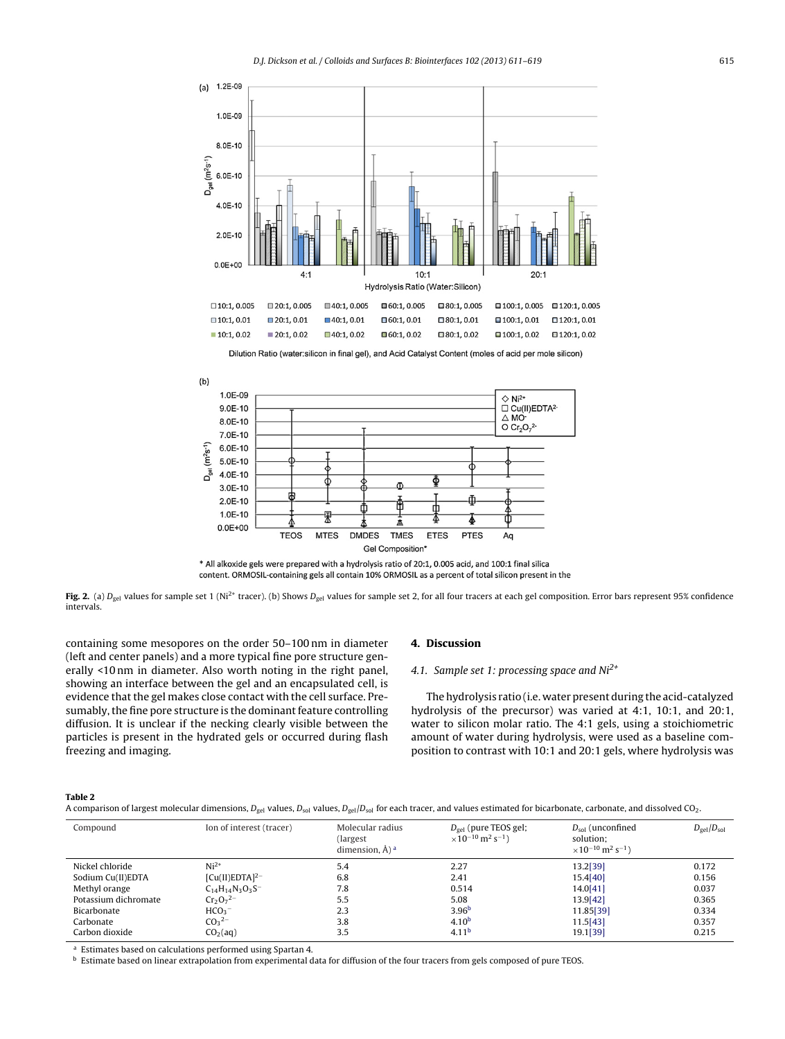<span id="page-4-0"></span>





**Fig. 2.** (a)  $D_{gel}$  values for sample set 1 (Ni<sup>2+</sup> tracer). (b) Shows  $D_{gel}$  values for sample set 2, for all four tracers at each gel composition. Error bars represent 95% confidence intervals.

containing some mesopores on the order 50–100 nm in diameter (left and center panels) and a more typical fine pore structure generally <10 nm in diameter. Also worth noting in the right panel, showing an interface between the gel and an encapsulated cell, is evidence that the gel makes close contact with the cell surface. Presumably, the fine pore structure is the dominant feature controlling diffusion. It is unclear if the necking clearly visible between the particles is present in the hydrated gels or occurred during flash freezing and imaging.

# **4. Discussion**

# 4.1. Sample set 1: processing space and  $Ni<sup>2+</sup>$

The hydrolysis ratio (i.e. water present during the acid-catalyzed hydrolysis of the precursor) was varied at 4:1, 10:1, and 20:1, water to silicon molar ratio. The 4:1 gels, using a stoichiometric amount of water during hydrolysis, were used as a baseline composition to contrast with 10:1 and 20:1 gels, where hydrolysis was

#### **Table 2**

A comparison of largest molecular dimensions,  $D_{gel}$  values,  $D_{sol}$  values,  $D_{gel}/D_{sol}$  for each tracer, and values estimated for bicarbonate, carbonate, and dissolved CO<sub>2</sub>.

| Compound             | Ion of interest (tracer) | Molecular radius<br>(largest)<br>dimension, $\AA$ ) <sup>a</sup> | $D_{\text{gel}}$ (pure TEOS gel;<br>$\times$ 10 <sup>-10</sup> m <sup>2</sup> s <sup>-1</sup> ) | $D_{sol}$ (unconfined<br>solution:<br>$\times$ 10 <sup>-10</sup> m <sup>2</sup> s <sup>-1</sup> ) | $D_{gel}/D_{sol}$ |
|----------------------|--------------------------|------------------------------------------------------------------|-------------------------------------------------------------------------------------------------|---------------------------------------------------------------------------------------------------|-------------------|
| Nickel chloride      | $Ni2+$                   | 5.4                                                              | 2.27                                                                                            | 13.2[39]                                                                                          | 0.172             |
| Sodium Cu(II)EDTA    | $[Cu(II)EDTA]^{2-}$      | 6.8                                                              | 2.41                                                                                            | 15.4[40]                                                                                          | 0.156             |
| Methyl orange        | $C_{14}H_{14}N_3O_3S^-$  | 7.8                                                              | 0.514                                                                                           | 14.0[41]                                                                                          | 0.037             |
| Potassium dichromate | $Cr_2O_7^{2-}$           | 5.5                                                              | 5.08                                                                                            | 13.9[42]                                                                                          | 0.365             |
| Bicarbonate          | HCO <sub>3</sub>         | 2.3                                                              | 3.96 <sup>b</sup>                                                                               | 11.85[39]                                                                                         | 0.334             |
| Carbonate            | $CO3$ <sup>2-</sup>      | 3.8                                                              | 4.10 <sup>b</sup>                                                                               | 11.5[43]                                                                                          | 0.357             |
| Carbon dioxide       | CO <sub>2</sub> (aq)     | 3.5                                                              | 4.11 <sup>b</sup>                                                                               | 19.1[39]                                                                                          | 0.215             |

<sup>a</sup> Estimates based on calculations performed using Spartan 4.

**b** Estimate based on linear extrapolation from experimental data for diffusion of the four tracers from gels composed of pure TEOS.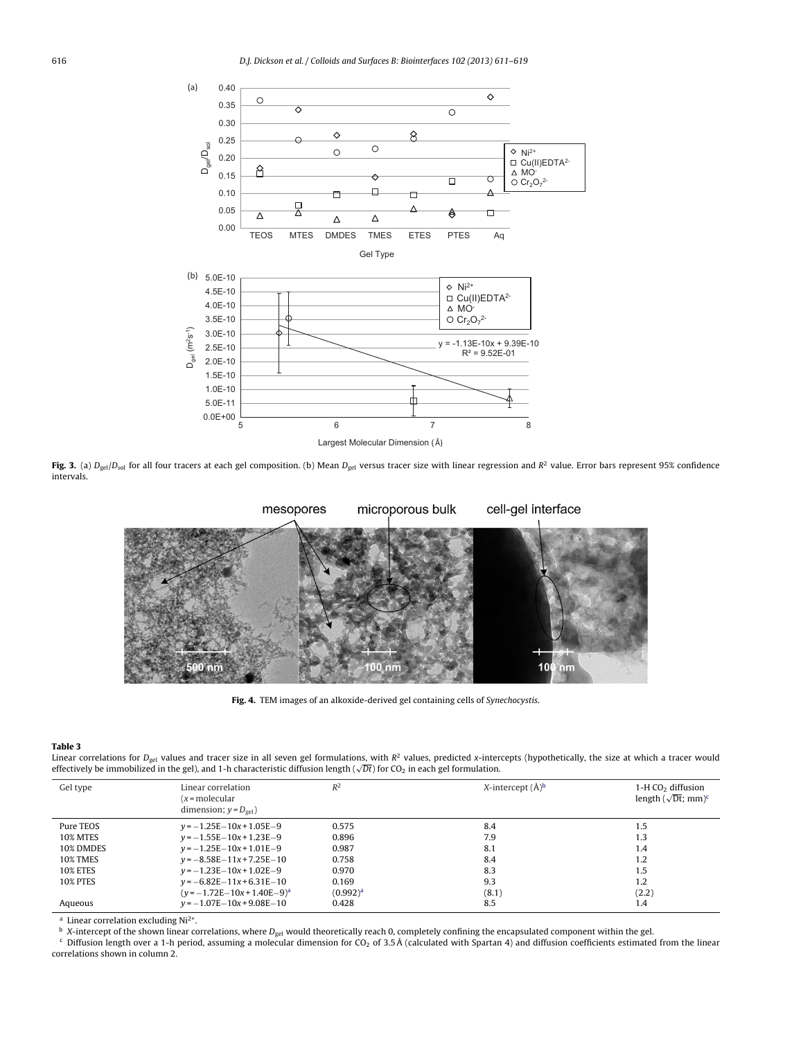<span id="page-5-0"></span>

Fig. 3. (a)  $D_{gel}/D_{sol}$  for all four tracers at each gel composition. (b) Mean  $D_{gel}$  versus tracer size with linear regression and  $R^2$  value. Error bars represent 95% confidence intervals.



**Fig. 4.** TEM images of an alkoxide-derived gel containing cells of Synechocystis.

#### **Table 3**

Linear correlations for D<sub>gel</sub> values and tracer size in all seven gel formulations, with R<sup>2</sup> values, predicted x-intercepts (hypothetically, the size at which a tracer would<br>effectively be immobilized in the gel), and 1

| Gel type        | Linear correlation<br>(x = molecular<br>dimension; $y = D_{\text{gel}}$ ) | $R^2$       | X-intercept $(\AA)^b$ | $1-H CO2$ diffusion<br>length $(\sqrt{Dt}$ ; mm) <sup>c</sup> |
|-----------------|---------------------------------------------------------------------------|-------------|-----------------------|---------------------------------------------------------------|
| Pure TEOS       | $v = -1.25E - 10x + 1.05E - 9$                                            | 0.575       | 8.4                   | 1.5                                                           |
| <b>10% MTES</b> | $v = -1.55E - 10x + 1.23E - 9$                                            | 0.896       | 7.9                   | 1.3                                                           |
| 10% DMDES       | $v = -1.25E - 10x + 1.01E - 9$                                            | 0.987       | 8.1                   | 1.4                                                           |
| <b>10% TMES</b> | $v = -8.58E - 11x + 7.25E - 10$                                           | 0.758       | 8.4                   | 1.2                                                           |
| <b>10% ETES</b> | $v = -1.23E - 10x + 1.02E - 9$                                            | 0.970       | 8.3                   | 1.5                                                           |
| <b>10% PTES</b> | $v = -6.82E - 11x + 6.31E - 10$                                           | 0.169       | 9.3                   | 1.2                                                           |
|                 | $(y = -1.72E - 10x + 1.40E - 9)^a$                                        | $(0.992)^a$ | (8.1)                 | (2.2)                                                         |
| Aqueous         | $v = -1.07E - 10x + 9.08E - 10$                                           | 0.428       | 8.5                   | 1.4                                                           |

<sup>a</sup> Linear correlation excluding  $Ni<sup>2+</sup>$ .

 $\overline{b}$  X-intercept of the shown linear correlations, where  $D_{gel}$  would theoretically reach 0, completely confining the encapsulated component within the gel.

c Diffusion length over a 1-h period, assuming a molecular dimension for CO<sub>2</sub> of 3.5Å (calculated with Spartan 4) and diffusion coefficients estimated from the linear correlations shown in column 2.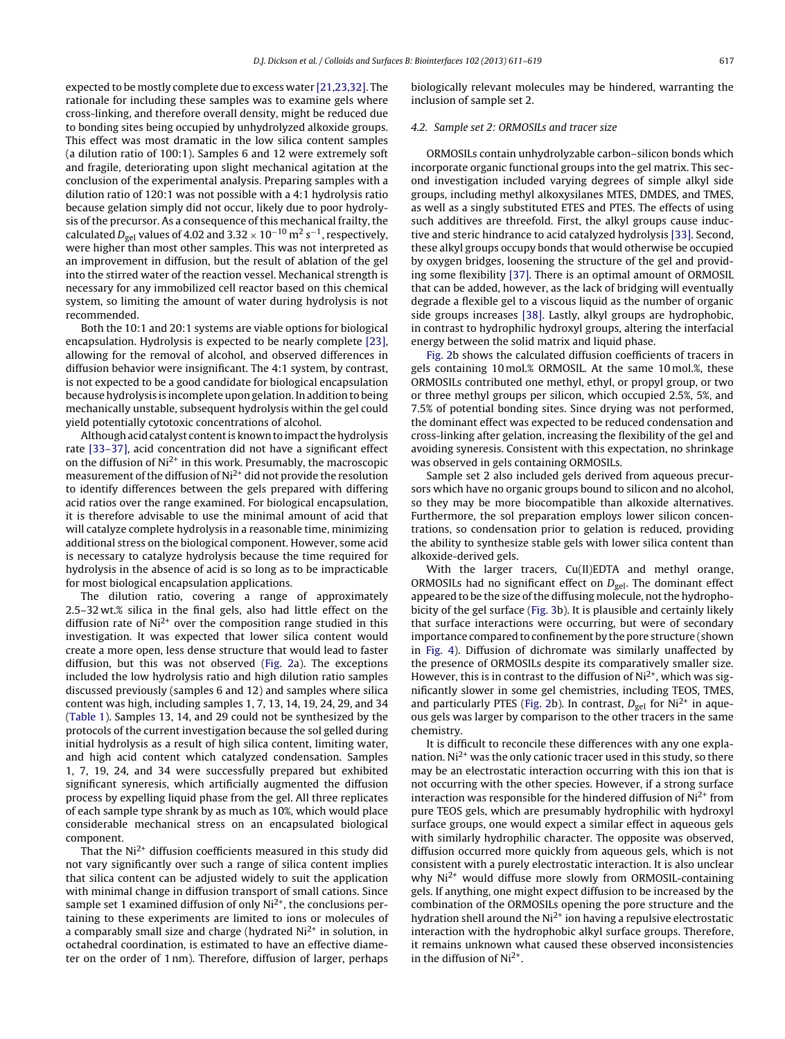expected to be mostly complete due to excess water [\[21,23,32\].](#page-8-0) The rationale for including these samples was to examine gels where cross-linking, and therefore overall density, might be reduced due to bonding sites being occupied by unhydrolyzed alkoxide groups. This effect was most dramatic in the low silica content samples (a dilution ratio of 100:1). Samples 6 and 12 were extremely soft and fragile, deteriorating upon slight mechanical agitation at the conclusion of the experimental analysis. Preparing samples with a dilution ratio of 120:1 was not possible with a 4:1 hydrolysis ratio because gelation simply did not occur, likely due to poor hydrolysis of the precursor. As a consequence of this mechanical frailty, the calculated  $D_{gel}$  values of 4.02 and 3.32 × 10<sup>-10</sup> m<sup>2</sup> s<sup>-1</sup>, respectively, were higher than most other samples. This was not interpreted as an improvement in diffusion, but the result of ablation of the gel into the stirred water of the reaction vessel. Mechanical strength is necessary for any immobilized cell reactor based on this chemical system, so limiting the amount of water during hydrolysis is not recommended.

Both the 10:1 and 20:1 systems are viable options for biological encapsulation. Hydrolysis is expected to be nearly complete [\[23\],](#page-8-0) allowing for the removal of alcohol, and observed differences in diffusion behavior were insignificant. The 4:1 system, by contrast, is not expected to be a good candidate for biological encapsulation because hydrolysis is incomplete upon gelation. In addition to being mechanically unstable, subsequent hydrolysis within the gel could yield potentially cytotoxic concentrations of alcohol.

Although acid catalyst content is known to impact the hydrolysis rate [\[33–37\],](#page-8-0) acid concentration did not have a significant effect on the diffusion of  $Ni<sup>2+</sup>$  in this work. Presumably, the macroscopic measurement of the diffusion of  $Ni<sup>2+</sup>$  did not provide the resolution to identify differences between the gels prepared with differing acid ratios over the range examined. For biological encapsulation, it is therefore advisable to use the minimal amount of acid that will catalyze complete hydrolysis in a reasonable time, minimizing additional stress on the biological component. However, some acid is necessary to catalyze hydrolysis because the time required for hydrolysis in the absence of acid is so long as to be impracticable for most biological encapsulation applications.

The dilution ratio, covering a range of approximately 2.5–32 wt.% silica in the final gels, also had little effect on the diffusion rate of  $Ni<sup>2+</sup>$  over the composition range studied in this investigation. It was expected that lower silica content would create a more open, less dense structure that would lead to faster diffusion, but this was not observed [\(Fig.](#page-4-0) 2a). The exceptions included the low hydrolysis ratio and high dilution ratio samples discussed previously (samples 6 and 12) and samples where silica content was high, including samples 1, 7, 13, 14, 19, 24, 29, and 34 ([Table](#page-3-0) 1). Samples 13, 14, and 29 could not be synthesized by the protocols of the current investigation because the sol gelled during initial hydrolysis as a result of high silica content, limiting water, and high acid content which catalyzed condensation. Samples 1, 7, 19, 24, and 34 were successfully prepared but exhibited significant syneresis, which artificially augmented the diffusion process by expelling liquid phase from the gel. All three replicates of each sample type shrank by as much as 10%, which would place considerable mechanical stress on an encapsulated biological component.

That the  $Ni<sup>2+</sup>$  diffusion coefficients measured in this study did not vary significantly over such a range of silica content implies that silica content can be adjusted widely to suit the application with minimal change in diffusion transport of small cations. Since sample set 1 examined diffusion of only  $Ni<sup>2+</sup>$ , the conclusions pertaining to these experiments are limited to ions or molecules of a comparably small size and charge (hydrated  $Ni<sup>2+</sup>$  in solution, in octahedral coordination, is estimated to have an effective diameter on the order of 1 nm). Therefore, diffusion of larger, perhaps

biologically relevant molecules may be hindered, warranting the inclusion of sample set 2.

# 4.2. Sample set 2: ORMOSILs and tracer size

ORMOSILs contain unhydrolyzable carbon–silicon bonds which incorporate organic functional groups into the gel matrix. This second investigation included varying degrees of simple alkyl side groups, including methyl alkoxysilanes MTES, DMDES, and TMES, as well as a singly substituted ETES and PTES. The effects of using such additives are threefold. First, the alkyl groups cause inductive and steric hindrance to acid catalyzed hydrolysis [\[33\].](#page-8-0) Second, these alkyl groups occupy bonds that would otherwise be occupied by oxygen bridges, loosening the structure of the gel and providing some flexibility [\[37\].](#page-8-0) There is an optimal amount of ORMOSIL that can be added, however, as the lack of bridging will eventually degrade a flexible gel to a viscous liquid as the number of organic side groups increases [\[38\].](#page-8-0) Lastly, alkyl groups are hydrophobic, in contrast to hydrophilic hydroxyl groups, altering the interfacial energy between the solid matrix and liquid phase.

[Fig.](#page-4-0) 2b shows the calculated diffusion coefficients of tracers in gels containing 10 mol.% ORMOSIL. At the same 10 mol.%, these ORMOSILs contributed one methyl, ethyl, or propyl group, or two or three methyl groups per silicon, which occupied 2.5%, 5%, and 7.5% of potential bonding sites. Since drying was not performed, the dominant effect was expected to be reduced condensation and cross-linking after gelation, increasing the flexibility of the gel and avoiding syneresis. Consistent with this expectation, no shrinkage was observed in gels containing ORMOSILs.

Sample set 2 also included gels derived from aqueous precursors which have no organic groups bound to silicon and no alcohol, so they may be more biocompatible than alkoxide alternatives. Furthermore, the sol preparation employs lower silicon concentrations, so condensation prior to gelation is reduced, providing the ability to synthesize stable gels with lower silica content than alkoxide-derived gels.

With the larger tracers, Cu(II)EDTA and methyl orange, ORMOSILs had no significant effect on  $D_{gel}$ . The dominant effect appeared to be the size of the diffusing molecule, not the hydrophobicity of the gel surface ([Fig.](#page-5-0) 3b). It is plausible and certainly likely that surface interactions were occurring, but were of secondary importance compared to confinement by the pore structure (shown in [Fig.](#page-5-0) 4). Diffusion of dichromate was similarly unaffected by the presence of ORMOSILs despite its comparatively smaller size. However, this is in contrast to the diffusion of  $Ni<sup>2+</sup>$ , which was significantly slower in some gel chemistries, including TEOS, TMES, and particularly PTES ([Fig.](#page-4-0) 2b). In contrast,  $D_{gel}$  for Ni<sup>2+</sup> in aqueous gels was larger by comparison to the other tracers in the same chemistry.

It is difficult to reconcile these differences with any one explanation.  $Ni^{2+}$  was the only cationic tracer used in this study, so there may be an electrostatic interaction occurring with this ion that is not occurring with the other species. However, if a strong surface interaction was responsible for the hindered diffusion of  $Ni<sup>2+</sup>$  from pure TEOS gels, which are presumably hydrophilic with hydroxyl surface groups, one would expect a similar effect in aqueous gels with similarly hydrophilic character. The opposite was observed, diffusion occurred more quickly from aqueous gels, which is not consistent with a purely electrostatic interaction. It is also unclear why  $Ni<sup>2+</sup>$  would diffuse more slowly from ORMOSIL-containing gels. If anything, one might expect diffusion to be increased by the combination of the ORMOSILs opening the pore structure and the hydration shell around the Ni<sup>2+</sup> ion having a repulsive electrostatic interaction with the hydrophobic alkyl surface groups. Therefore, it remains unknown what caused these observed inconsistencies in the diffusion of  $Ni<sup>2+</sup>$ .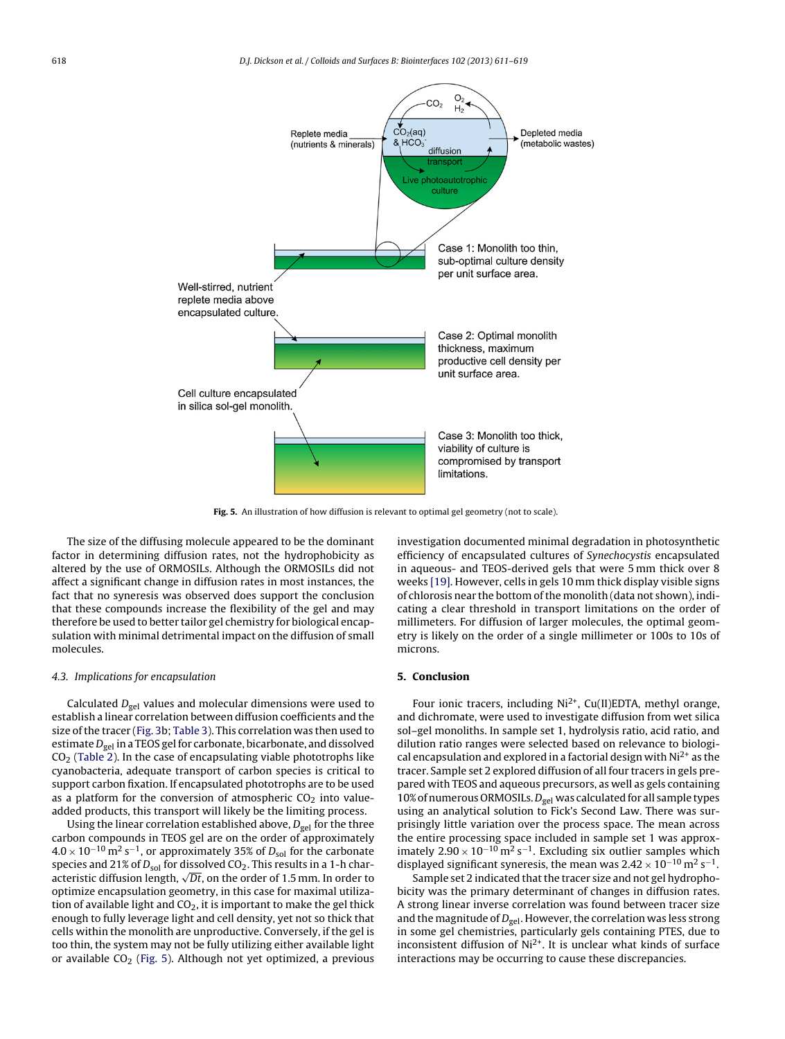

**Fig. 5.** An illustration of how diffusion is relevant to optimal gel geometry (not to scale).

The size of the diffusing molecule appeared to be the dominant factor in determining diffusion rates, not the hydrophobicity as altered by the use of ORMOSILs. Although the ORMOSILs did not affect a significant change in diffusion rates in most instances, the fact that no syneresis was observed does support the conclusion that these compounds increase the flexibility of the gel and may therefore be used to better tailor gel chemistry for biological encapsulation with minimal detrimental impact on the diffusion of small molecules.

#### 4.3. Implications for encapsulation

Calculated  $D_{gel}$  values and molecular dimensions were used to establish a linear correlation between diffusion coefficients and the size of the tracer [\(Fig.](#page-5-0) 3b; [Table](#page-5-0) 3). This correlation was then used to estimate  $D_{gel}$  in a TEOS gel for carbonate, bicarbonate, and dissolved  $CO<sub>2</sub>$  [\(Table](#page-4-0) 2). In the case of encapsulating viable phototrophs like cyanobacteria, adequate transport of carbon species is critical to support carbon fixation. If encapsulated phototrophs are to be used as a platform for the conversion of atmospheric  $CO<sub>2</sub>$  into valueadded products, this transport will likely be the limiting process.

Using the linear correlation established above,  $D_{gel}$  for the three carbon compounds in TEOS gel are on the order of approximately  $4.0 \times 10^{-10}$  m<sup>2</sup> s<sup>-1</sup>, or approximately 35% of  $D_{sol}$  for the carbonate species and 21% of  $D_{sol}$  for dissolved CO<sub>2</sub>. This results in a 1-h characteristic diffusion length,  $\sqrt{Dt}$ , on the order of 1.5 mm. In order to optimize encapsulation geometry, in this case for maximal utilization of available light and  $CO<sub>2</sub>$ , it is important to make the gel thick enough to fully leverage light and cell density, yet not so thick that cells within the monolith are unproductive. Conversely, if the gel is too thin, the system may not be fully utilizing either available light or available  $CO<sub>2</sub>$  (Fig. 5). Although not yet optimized, a previous investigation documented minimal degradation in photosynthetic efficiency of encapsulated cultures of Synechocystis encapsulated in aqueous- and TEOS-derived gels that were 5 mm thick over 8 weeks [\[19\].](#page-8-0) However, cells in gels 10 mm thick display visible signs of chlorosis near the bottom of the monolith (data not shown), indicating a clear threshold in transport limitations on the order of millimeters. For diffusion of larger molecules, the optimal geometry is likely on the order of a single millimeter or 100s to 10s of microns.

# **5. Conclusion**

Four ionic tracers, including  $Ni^{2+}$ , Cu(II)EDTA, methyl orange, and dichromate, were used to investigate diffusion from wet silica sol–gel monoliths. In sample set 1, hydrolysis ratio, acid ratio, and dilution ratio ranges were selected based on relevance to biological encapsulation and explored in a factorial design with  $Ni<sup>2+</sup>$  as the tracer. Sample set 2 explored diffusion of all four tracers in gels prepared with TEOS and aqueous precursors, as well as gels containing 10% of numerous ORMOSILs.  $D_{gel}$  was calculated for all sample types using an analytical solution to Fick's Second Law. There was surprisingly little variation over the process space. The mean across the entire processing space included in sample set 1 was approximately  $2.90 \times 10^{-10}$  m<sup>2</sup> s<sup>-1</sup>. Excluding six outlier samples which displayed significant syneresis, the mean was  $2.42 \times 10^{-10}$  m<sup>2</sup> s<sup>-1</sup>.

Sample set 2 indicated that the tracer size and not gel hydrophobicity was the primary determinant of changes in diffusion rates. A strong linear inverse correlation was found between tracer size and the magnitude of  $D_{\text{gel}}$ . However, the correlation was less strong in some gel chemistries, particularly gels containing PTES, due to inconsistent diffusion of  $Ni<sup>2+</sup>$ . It is unclear what kinds of surface interactions may be occurring to cause these discrepancies.